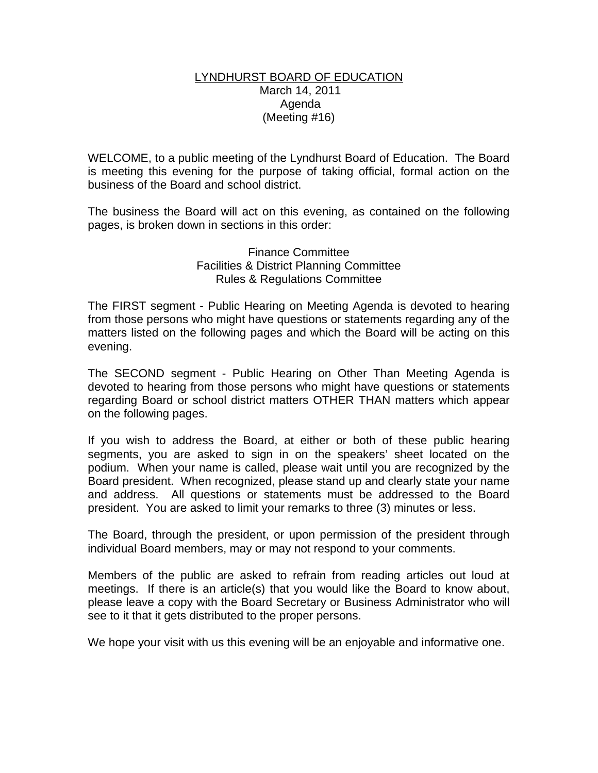#### LYNDHURST BOARD OF EDUCATION March 14, 2011 Agenda (Meeting #16)

WELCOME, to a public meeting of the Lyndhurst Board of Education. The Board is meeting this evening for the purpose of taking official, formal action on the business of the Board and school district.

The business the Board will act on this evening, as contained on the following pages, is broken down in sections in this order:

### Finance Committee Facilities & District Planning Committee Rules & Regulations Committee

The FIRST segment - Public Hearing on Meeting Agenda is devoted to hearing from those persons who might have questions or statements regarding any of the matters listed on the following pages and which the Board will be acting on this evening.

The SECOND segment - Public Hearing on Other Than Meeting Agenda is devoted to hearing from those persons who might have questions or statements regarding Board or school district matters OTHER THAN matters which appear on the following pages.

If you wish to address the Board, at either or both of these public hearing segments, you are asked to sign in on the speakers' sheet located on the podium. When your name is called, please wait until you are recognized by the Board president. When recognized, please stand up and clearly state your name and address. All questions or statements must be addressed to the Board president. You are asked to limit your remarks to three (3) minutes or less.

The Board, through the president, or upon permission of the president through individual Board members, may or may not respond to your comments.

Members of the public are asked to refrain from reading articles out loud at meetings. If there is an article(s) that you would like the Board to know about, please leave a copy with the Board Secretary or Business Administrator who will see to it that it gets distributed to the proper persons.

We hope your visit with us this evening will be an enjoyable and informative one.